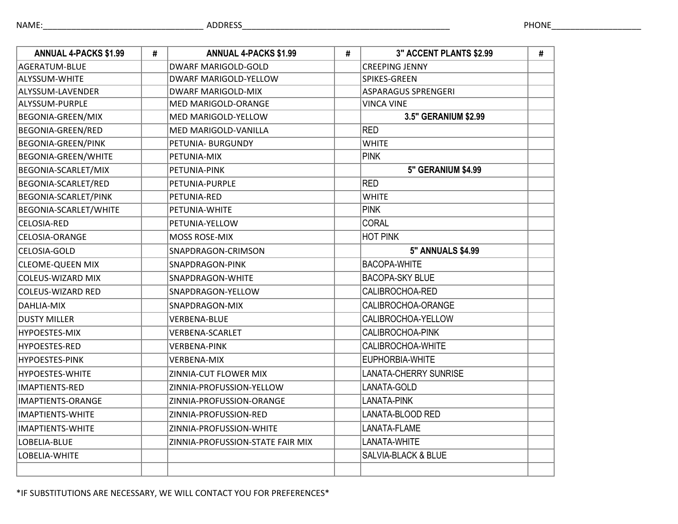| <b>ANNUAL 4-PACKS \$1.99</b> | # | <b>ANNUAL 4-PACKS \$1.99</b>     | # | 3" ACCENT PLANTS \$2.99      | # |
|------------------------------|---|----------------------------------|---|------------------------------|---|
| AGERATUM-BLUE                |   | <b>DWARF MARIGOLD-GOLD</b>       |   | <b>CREEPING JENNY</b>        |   |
| <b>ALYSSUM-WHITE</b>         |   | <b>DWARF MARIGOLD-YELLOW</b>     |   | SPIKES-GREEN                 |   |
| ALYSSUM-LAVENDER             |   | <b>DWARF MARIGOLD-MIX</b>        |   | ASPARAGUS SPRENGERI          |   |
| ALYSSUM-PURPLE               |   | MED MARIGOLD-ORANGE              |   | <b>VINCA VINE</b>            |   |
| BEGONIA-GREEN/MIX            |   | MED MARIGOLD-YELLOW              |   | 3.5" GERANIUM \$2.99         |   |
| BEGONIA-GREEN/RED            |   | MED MARIGOLD-VANILLA             |   | <b>RED</b>                   |   |
| BEGONIA-GREEN/PINK           |   | PETUNIA- BURGUNDY                |   | <b>WHITE</b>                 |   |
| BEGONIA-GREEN/WHITE          |   | PETUNIA-MIX                      |   | <b>PINK</b>                  |   |
| BEGONIA-SCARLET/MIX          |   | PETUNIA-PINK                     |   | <b>5" GERANIUM \$4.99</b>    |   |
| BEGONIA-SCARLET/RED          |   | PETUNIA-PURPLE                   |   | <b>RED</b>                   |   |
| BEGONIA-SCARLET/PINK         |   | PETUNIA-RED                      |   | <b>WHITE</b>                 |   |
| BEGONIA-SCARLET/WHITE        |   | PETUNIA-WHITE                    |   | <b>PINK</b>                  |   |
| <b>CELOSIA-RED</b>           |   | PETUNIA-YELLOW                   |   | <b>CORAL</b>                 |   |
| <b>CELOSIA-ORANGE</b>        |   | <b>MOSS ROSE-MIX</b>             |   | <b>HOT PINK</b>              |   |
| CELOSIA-GOLD                 |   | SNAPDRAGON-CRIMSON               |   | <b>5" ANNUALS \$4.99</b>     |   |
| <b>CLEOME-QUEEN MIX</b>      |   | SNAPDRAGON-PINK                  |   | <b>BACOPA-WHITE</b>          |   |
| <b>COLEUS-WIZARD MIX</b>     |   | SNAPDRAGON-WHITE                 |   | <b>BACOPA-SKY BLUE</b>       |   |
| <b>COLEUS-WIZARD RED</b>     |   | SNAPDRAGON-YELLOW                |   | CALIBROCHOA-RED              |   |
| DAHLIA-MIX                   |   | SNAPDRAGON-MIX                   |   | CALIBROCHOA-ORANGE           |   |
| <b>DUSTY MILLER</b>          |   | <b>VERBENA-BLUE</b>              |   | CALIBROCHOA-YELLOW           |   |
| <b>HYPOESTES-MIX</b>         |   | <b>VERBENA-SCARLET</b>           |   | CALIBROCHOA-PINK             |   |
| <b>HYPOESTES-RED</b>         |   | <b>VERBENA-PINK</b>              |   | CALIBROCHOA-WHITE            |   |
| <b>HYPOESTES-PINK</b>        |   | <b>VERBENA-MIX</b>               |   | EUPHORBIA-WHITE              |   |
| HYPOESTES-WHITE              |   | ZINNIA-CUT FLOWER MIX            |   | <b>LANATA-CHERRY SUNRISE</b> |   |
| <b>IMAPTIENTS-RED</b>        |   | ZINNIA-PROFUSSION-YELLOW         |   | LANATA-GOLD                  |   |
| IMAPTIENTS-ORANGE            |   | ZINNIA-PROFUSSION-ORANGE         |   | LANATA-PINK                  |   |
| <b>IMAPTIENTS-WHITE</b>      |   | ZINNIA-PROFUSSION-RED            |   | LANATA-BLOOD RED             |   |
| <b>IMAPTIENTS-WHITE</b>      |   | ZINNIA-PROFUSSION-WHITE          |   | LANATA-FLAME                 |   |
| LOBELIA-BLUE                 |   | ZINNIA-PROFUSSION-STATE FAIR MIX |   | LANATA-WHITE                 |   |
| LOBELIA-WHITE                |   |                                  |   | SALVIA-BLACK & BLUE          |   |
|                              |   |                                  |   |                              |   |

\*IF SUBSTITUTIONS ARE NECESSARY, WE WILL CONTACT YOU FOR PREFERENCES\*